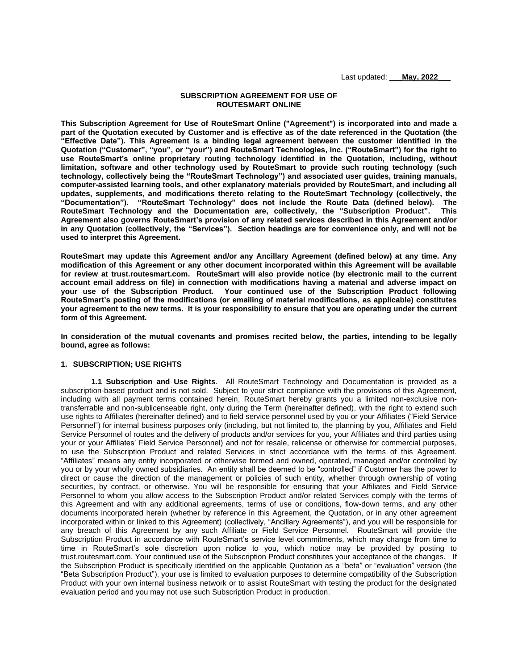Last updated: **\_\_\_May, 2022\_\_\_**

### **SUBSCRIPTION AGREEMENT FOR USE OF ROUTESMART ONLINE**

**This Subscription Agreement for Use of RouteSmart Online ("Agreement") is incorporated into and made a part of the Quotation executed by Customer and is effective as of the date referenced in the Quotation (the "Effective Date"). This Agreement is a binding legal agreement between the customer identified in the Quotation ("Customer", "you", or "your") and RouteSmart Technologies, Inc. ("RouteSmart") for the right to use RouteSmart's online proprietary routing technology identified in the Quotation, including, without limitation, software and other technology used by RouteSmart to provide such routing technology (such technology, collectively being the "RouteSmart Technology") and associated user guides, training manuals, computer-assisted learning tools, and other explanatory materials provided by RouteSmart, and including all updates, supplements, and modifications thereto relating to the RouteSmart Technology (collectively, the**  "RouteSmart Technology" does not include the Route Data (defined below). The<br>logy and the Documentation are, collectively, the "Subscription Product". This **RouteSmart Technology and the Documentation are, collectively, the "Subscription Product". This Agreement also governs RouteSmart's provision of any related services described in this Agreement and/or in any Quotation (collectively, the "Services"). Section headings are for convenience only, and will not be used to interpret this Agreement.**

**RouteSmart may update this Agreement and/or any Ancillary Agreement (defined below) at any time. Any modification of this Agreement or any other document incorporated within this Agreement will be available for review at trust.routesmart.com. RouteSmart will also provide notice (by electronic mail to the current account email address on file) in connection with modifications having a material and adverse impact on your use of the Subscription Product. Your continued use of the Subscription Product following RouteSmart's posting of the modifications (or emailing of material modifications, as applicable) constitutes your agreement to the new terms. It is your responsibility to ensure that you are operating under the current form of this Agreement.** 

**In consideration of the mutual covenants and promises recited below, the parties, intending to be legally bound, agree as follows:**

### **1. SUBSCRIPTION; USE RIGHTS**

**1.1 Subscription and Use Rights**. All RouteSmart Technology and Documentation is provided as a subscription-based product and is not sold. Subject to your strict compliance with the provisions of this Agreement, including with all payment terms contained herein, RouteSmart hereby grants you a limited non-exclusive nontransferrable and non-sublicenseable right, only during the Term (hereinafter defined), with the right to extend such use rights to Affiliates (hereinafter defined) and to field service personnel used by you or your Affiliates ("Field Service Personnel") for internal business purposes only (including, but not limited to, the planning by you, Affiliates and Field Service Personnel of routes and the delivery of products and/or services for you, your Affiliates and third parties using your or your Affiliates' Field Service Personnel) and not for resale, relicense or otherwise for commercial purposes, to use the Subscription Product and related Services in strict accordance with the terms of this Agreement. "Affiliates" means any entity incorporated or otherwise formed and owned, operated, managed and/or controlled by you or by your wholly owned subsidiaries. An entity shall be deemed to be "controlled" if Customer has the power to direct or cause the direction of the management or policies of such entity, whether through ownership of voting securities, by contract, or otherwise. You will be responsible for ensuring that your Affiliates and Field Service Personnel to whom you allow access to the Subscription Product and/or related Services comply with the terms of this Agreement and with any additional agreements, terms of use or conditions, flow-down terms, and any other documents incorporated herein (whether by reference in this Agreement, the Quotation, or in any other agreement incorporated within or linked to this Agreement) (collectively, "Ancillary Agreements"), and you will be responsible for any breach of this Agreement by any such Affiliate or Field Service Personnel. RouteSmart will provide the Subscription Product in accordance with RouteSmart's service level commitments, which may change from time to time in RouteSmart's sole discretion upon notice to you, which notice may be provided by posting to trust.routesmart.com. Your continued use of the Subscription Product constitutes your acceptance of the changes. If the Subscription Product is specifically identified on the applicable Quotation as a "beta" or "evaluation" version (the "Beta Subscription Product"), your use is limited to evaluation purposes to determine compatibility of the Subscription Product with your own internal business network or to assist RouteSmart with testing the product for the designated evaluation period and you may not use such Subscription Product in production.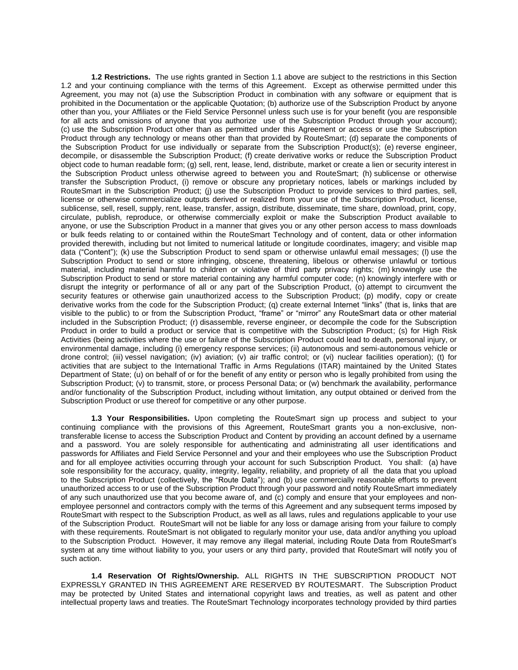**1.2 Restrictions.** The use rights granted in Section 1.1 above are subject to the restrictions in this Section 1.2 and your continuing compliance with the terms of this Agreement. Except as otherwise permitted under this Agreement, you may not (a) use the Subscription Product in combination with any software or equipment that is prohibited in the Documentation or the applicable Quotation; (b) authorize use of the Subscription Product by anyone other than you, your Affiliates or the Field Service Personnel unless such use is for your benefit (you are responsible for all acts and omissions of anyone that you authorize use of the Subscription Product through your account); (c) use the Subscription Product other than as permitted under this Agreement or access or use the Subscription Product through any technology or means other than that provided by RouteSmart; (d) separate the components of the Subscription Product for use individually or separate from the Subscription Product(s); (e) reverse engineer, decompile, or disassemble the Subscription Product; (f) create derivative works or reduce the Subscription Product object code to human readable form; (g) sell, rent, lease, lend, distribute, market or create a lien or security interest in the Subscription Product unless otherwise agreed to between you and RouteSmart; (h) sublicense or otherwise transfer the Subscription Product, (i) remove or obscure any proprietary notices, labels or markings included by RouteSmart in the Subscription Product; (j) use the Subscription Product to provide services to third parties, sell, license or otherwise commercialize outputs derived or realized from your use of the Subscription Product, license, sublicense, sell, resell, supply, rent, lease, transfer, assign, distribute, disseminate, time share, download, print, copy, circulate, publish, reproduce, or otherwise commercially exploit or make the Subscription Product available to anyone, or use the Subscription Product in a manner that gives you or any other person access to mass downloads or bulk feeds relating to or contained within the RouteSmart Technology and of content, data or other information provided therewith, including but not limited to numerical latitude or longitude coordinates, imagery; and visible map data ("Content"); (k) use the Subscription Product to send spam or otherwise unlawful email messages; (l) use the Subscription Product to send or store infringing, obscene, threatening, libelous or otherwise unlawful or tortious material, including material harmful to children or violative of third party privacy rights; (m) knowingly use the Subscription Product to send or store material containing any harmful computer code; (n) knowingly interfere with or disrupt the integrity or performance of all or any part of the Subscription Product, (o) attempt to circumvent the security features or otherwise gain unauthorized access to the Subscription Product; (p) modify, copy or create derivative works from the code for the Subscription Product; (q) create external Internet "links" (that is, links that are visible to the public) to or from the Subscription Product, "frame" or "mirror" any RouteSmart data or other material included in the Subscription Product; (r) disassemble, reverse engineer, or decompile the code for the Subscription Product in order to build a product or service that is competitive with the Subscription Product; (s) for High Risk Activities (being activities where the use or failure of the Subscription Product could lead to death, personal injury, or environmental damage, including (i) emergency response services; (ii) autonomous and semi-autonomous vehicle or drone control; (iii) vessel navigation; (iv) aviation; (v) air traffic control; or (vi) nuclear facilities operation); (t) for activities that are subject to the International Traffic in Arms Regulations (ITAR) maintained by the United States Department of State; (u) on behalf of or for the benefit of any entity or person who is legally prohibited from using the Subscription Product; (v) to transmit, store, or process Personal Data; or (w) benchmark the availability, performance and/or functionality of the Subscription Product, including without limitation, any output obtained or derived from the Subscription Product or use thereof for competitive or any other purpose.

**1.3 Your Responsibilities.** Upon completing the RouteSmart sign up process and subject to your continuing compliance with the provisions of this Agreement, RouteSmart grants you a non-exclusive, nontransferable license to access the Subscription Product and Content by providing an account defined by a username and a password. You are solely responsible for authenticating and administrating all user identifications and passwords for Affiliates and Field Service Personnel and your and their employees who use the Subscription Product and for all employee activities occurring through your account for such Subscription Product. You shall: (a) have sole responsibility for the accuracy, quality, integrity, legality, reliability, and propriety of all the data that you upload to the Subscription Product (collectively, the "Route Data"); and (b) use commercially reasonable efforts to prevent unauthorized access to or use of the Subscription Product through your password and notify RouteSmart immediately of any such unauthorized use that you become aware of, and (c) comply and ensure that your employees and nonemployee personnel and contractors comply with the terms of this Agreement and any subsequent terms imposed by RouteSmart with respect to the Subscription Product, as well as all laws, rules and regulations applicable to your use of the Subscription Product. RouteSmart will not be liable for any loss or damage arising from your failure to comply with these requirements. RouteSmart is not obligated to regularly monitor your use, data and/or anything you upload to the Subscription Product. However, it may remove any illegal material, including Route Data from RouteSmart's system at any time without liability to you, your users or any third party, provided that RouteSmart will notify you of such action.

**1.4 Reservation Of Rights/Ownership.** ALL RIGHTS IN THE SUBSCRIPTION PRODUCT NOT EXPRESSLY GRANTED IN THIS AGREEMENT ARE RESERVED BY ROUTESMART. The Subscription Product may be protected by United States and international copyright laws and treaties, as well as patent and other intellectual property laws and treaties. The RouteSmart Technology incorporates technology provided by third parties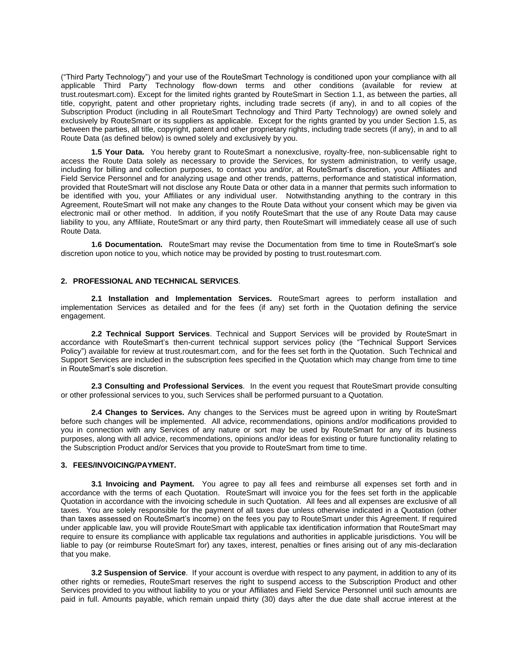("Third Party Technology") and your use of the RouteSmart Technology is conditioned upon your compliance with all applicable Third Party Technology flow-down terms and other conditions (available for review at trust.routesmart.com). Except for the limited rights granted by RouteSmart in Section 1.1, as between the parties, all title, copyright, patent and other proprietary rights, including trade secrets (if any), in and to all copies of the Subscription Product (including in all RouteSmart Technology and Third Party Technology) are owned solely and exclusively by RouteSmart or its suppliers as applicable. Except for the rights granted by you under Section 1.5, as between the parties, all title, copyright, patent and other proprietary rights, including trade secrets (if any), in and to all Route Data (as defined below) is owned solely and exclusively by you.

**1.5 Your Data.** You hereby grant to RouteSmart a nonexclusive, royalty-free, non-sublicensable right to access the Route Data solely as necessary to provide the Services, for system administration, to verify usage, including for billing and collection purposes, to contact you and/or, at RouteSmart's discretion, your Affiliates and Field Service Personnel and for analyzing usage and other trends, patterns, performance and statistical information, provided that RouteSmart will not disclose any Route Data or other data in a manner that permits such information to be identified with you, your Affiliates or any individual user. Notwithstanding anything to the contrary in this Agreement, RouteSmart will not make any changes to the Route Data without your consent which may be given via electronic mail or other method. In addition, if you notify RouteSmart that the use of any Route Data may cause liability to you, any Affiliate, RouteSmart or any third party, then RouteSmart will immediately cease all use of such Route Data.

**1.6 Documentation.** RouteSmart may revise the Documentation from time to time in RouteSmart's sole discretion upon notice to you, which notice may be provided by posting to trust.routesmart.com.

## **2. PROFESSIONAL AND TECHNICAL SERVICES**.

**2.1 Installation and Implementation Services.** RouteSmart agrees to perform installation and implementation Services as detailed and for the fees (if any) set forth in the Quotation defining the service engagement.

**2.2 Technical Support Services**. Technical and Support Services will be provided by RouteSmart in accordance with RouteSmart's then-current technical support services policy (the "Technical Support Services Policy") available for review at trust.routesmart.com, and for the fees set forth in the Quotation. Such Technical and Support Services are included in the subscription fees specified in the Quotation which may change from time to time in RouteSmart's sole discretion.

**2.3 Consulting and Professional Services**. In the event you request that RouteSmart provide consulting or other professional services to you, such Services shall be performed pursuant to a Quotation.

**2.4 Changes to Services.** Any changes to the Services must be agreed upon in writing by RouteSmart before such changes will be implemented. All advice, recommendations, opinions and/or modifications provided to you in connection with any Services of any nature or sort may be used by RouteSmart for any of its business purposes, along with all advice, recommendations, opinions and/or ideas for existing or future functionality relating to the Subscription Product and/or Services that you provide to RouteSmart from time to time.

# **3. FEES/INVOICING/PAYMENT.**

**3.1 Invoicing and Payment.** You agree to pay all fees and reimburse all expenses set forth and in accordance with the terms of each Quotation. RouteSmart will invoice you for the fees set forth in the applicable Quotation in accordance with the invoicing schedule in such Quotation. All fees and all expenses are exclusive of all taxes. You are solely responsible for the payment of all taxes due unless otherwise indicated in a Quotation (other than taxes assessed on RouteSmart's income) on the fees you pay to RouteSmart under this Agreement. If required under applicable law, you will provide RouteSmart with applicable tax identification information that RouteSmart may require to ensure its compliance with applicable tax regulations and authorities in applicable jurisdictions. You will be liable to pay (or reimburse RouteSmart for) any taxes, interest, penalties or fines arising out of any mis-declaration that you make.

**3.2 Suspension of Service**. If your account is overdue with respect to any payment, in addition to any of its other rights or remedies, RouteSmart reserves the right to suspend access to the Subscription Product and other Services provided to you without liability to you or your Affiliates and Field Service Personnel until such amounts are paid in full. Amounts payable, which remain unpaid thirty (30) days after the due date shall accrue interest at the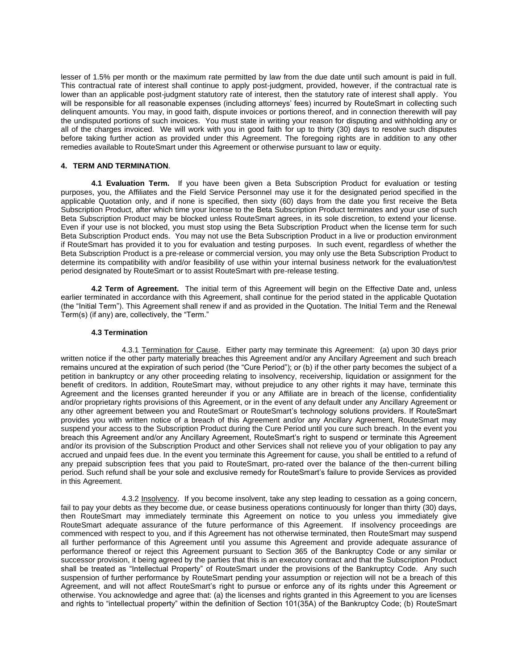lesser of 1.5% per month or the maximum rate permitted by law from the due date until such amount is paid in full. This contractual rate of interest shall continue to apply post-judgment, provided, however, if the contractual rate is lower than an applicable post-judgment statutory rate of interest, then the statutory rate of interest shall apply. You will be responsible for all reasonable expenses (including attorneys' fees) incurred by RouteSmart in collecting such delinguent amounts. You may, in good faith, dispute invoices or portions thereof, and in connection therewith will pay the undisputed portions of such invoices. You must state in writing your reason for disputing and withholding any or all of the charges invoiced. We will work with you in good faith for up to thirty (30) days to resolve such disputes before taking further action as provided under this Agreement. The foregoing rights are in addition to any other remedies available to RouteSmart under this Agreement or otherwise pursuant to law or equity.

## **4. TERM AND TERMINATION**.

**4.1 Evaluation Term.** If you have been given a Beta Subscription Product for evaluation or testing purposes, you, the Affiliates and the Field Service Personnel may use it for the designated period specified in the applicable Quotation only, and if none is specified, then sixty (60) days from the date you first receive the Beta Subscription Product, after which time your license to the Beta Subscription Product terminates and your use of such Beta Subscription Product may be blocked unless RouteSmart agrees, in its sole discretion, to extend your license. Even if your use is not blocked, you must stop using the Beta Subscription Product when the license term for such Beta Subscription Product ends. You may not use the Beta Subscription Product in a live or production environment if RouteSmart has provided it to you for evaluation and testing purposes. In such event, regardless of whether the Beta Subscription Product is a pre-release or commercial version, you may only use the Beta Subscription Product to determine its compatibility with and/or feasibility of use within your internal business network for the evaluation/test period designated by RouteSmart or to assist RouteSmart with pre-release testing.

**4.2 Term of Agreement.** The initial term of this Agreement will begin on the Effective Date and, unless earlier terminated in accordance with this Agreement, shall continue for the period stated in the applicable Quotation (the "Initial Term"). This Agreement shall renew if and as provided in the Quotation. The Initial Term and the Renewal Term(s) (if any) are, collectively, the "Term."

#### **4.3 Termination**

4.3.1 Termination for Cause. Either party may terminate this Agreement: (a) upon 30 days prior written notice if the other party materially breaches this Agreement and/or any Ancillary Agreement and such breach remains uncured at the expiration of such period (the "Cure Period"); or (b) if the other party becomes the subject of a petition in bankruptcy or any other proceeding relating to insolvency, receivership, liquidation or assignment for the benefit of creditors. In addition, RouteSmart may, without prejudice to any other rights it may have, terminate this Agreement and the licenses granted hereunder if you or any Affiliate are in breach of the license, confidentiality and/or proprietary rights provisions of this Agreement, or in the event of any default under any Ancillary Agreement or any other agreement between you and RouteSmart or RouteSmart's technology solutions providers. If RouteSmart provides you with written notice of a breach of this Agreement and/or any Ancillary Agreement, RouteSmart may suspend your access to the Subscription Product during the Cure Period until you cure such breach. In the event you breach this Agreement and/or any Ancillary Agreement, RouteSmart's right to suspend or terminate this Agreement and/or its provision of the Subscription Product and other Services shall not relieve you of your obligation to pay any accrued and unpaid fees due. In the event you terminate this Agreement for cause, you shall be entitled to a refund of any prepaid subscription fees that you paid to RouteSmart, pro-rated over the balance of the then-current billing period. Such refund shall be your sole and exclusive remedy for RouteSmart's failure to provide Services as provided in this Agreement.

4.3.2 Insolvency. If you become insolvent, take any step leading to cessation as a going concern, fail to pay your debts as they become due, or cease business operations continuously for longer than thirty (30) days, then RouteSmart may immediately terminate this Agreement on notice to you unless you immediately give RouteSmart adequate assurance of the future performance of this Agreement. If insolvency proceedings are commenced with respect to you, and if this Agreement has not otherwise terminated, then RouteSmart may suspend all further performance of this Agreement until you assume this Agreement and provide adequate assurance of performance thereof or reject this Agreement pursuant to Section 365 of the Bankruptcy Code or any similar or successor provision, it being agreed by the parties that this is an executory contract and that the Subscription Product shall be treated as "Intellectual Property" of RouteSmart under the provisions of the Bankruptcy Code. Any such suspension of further performance by RouteSmart pending your assumption or rejection will not be a breach of this Agreement, and will not affect RouteSmart's right to pursue or enforce any of its rights under this Agreement or otherwise. You acknowledge and agree that: (a) the licenses and rights granted in this Agreement to you are licenses and rights to "intellectual property" within the definition of Section 101(35A) of the Bankruptcy Code; (b) RouteSmart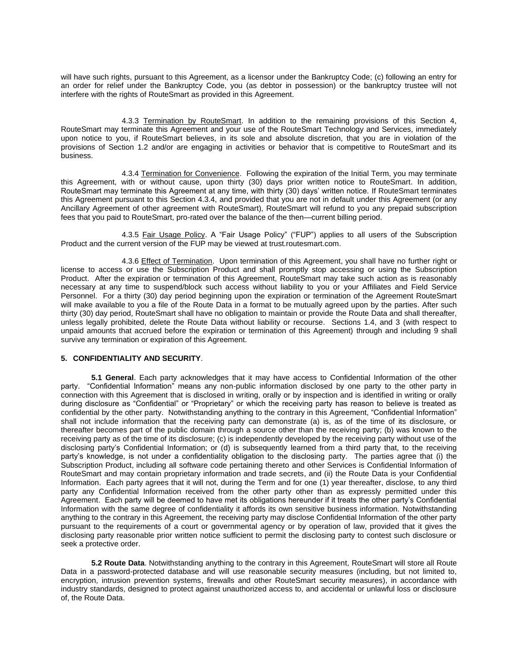will have such rights, pursuant to this Agreement, as a licensor under the Bankruptcy Code; (c) following an entry for an order for relief under the Bankruptcy Code, you (as debtor in possession) or the bankruptcy trustee will not interfere with the rights of RouteSmart as provided in this Agreement.

4.3.3 Termination by RouteSmart. In addition to the remaining provisions of this Section 4, RouteSmart may terminate this Agreement and your use of the RouteSmart Technology and Services, immediately upon notice to you, if RouteSmart believes, in its sole and absolute discretion, that you are in violation of the provisions of Section 1.2 and/or are engaging in activities or behavior that is competitive to RouteSmart and its business.

4.3.4 Termination for Convenience. Following the expiration of the Initial Term, you may terminate this Agreement, with or without cause, upon thirty (30) days prior written notice to RouteSmart. In addition, RouteSmart may terminate this Agreement at any time, with thirty (30) days' written notice. If RouteSmart terminates this Agreement pursuant to this Section 4.3.4, and provided that you are not in default under this Agreement (or any Ancillary Agreement of other agreement with RouteSmart), RouteSmart will refund to you any prepaid subscription fees that you paid to RouteSmart, pro-rated over the balance of the then—current billing period.

4.3.5 Fair Usage Policy. A "Fair Usage Policy" ("FUP") applies to all users of the Subscription Product and the current version of the FUP may be viewed at trust.routesmart.com.

4.3.6 Effect of Termination. Upon termination of this Agreement, you shall have no further right or license to access or use the Subscription Product and shall promptly stop accessing or using the Subscription Product. After the expiration or termination of this Agreement, RouteSmart may take such action as is reasonably necessary at any time to suspend/block such access without liability to you or your Affiliates and Field Service Personnel. For a thirty (30) day period beginning upon the expiration or termination of the Agreement RouteSmart will make available to you a file of the Route Data in a format to be mutually agreed upon by the parties. After such thirty (30) day period, RouteSmart shall have no obligation to maintain or provide the Route Data and shall thereafter, unless legally prohibited, delete the Route Data without liability or recourse. Sections 1.4, and 3 (with respect to unpaid amounts that accrued before the expiration or termination of this Agreement) through and including 9 shall survive any termination or expiration of this Agreement.

# **5. CONFIDENTIALITY AND SECURITY**.

**5.1 General**. Each party acknowledges that it may have access to Confidential Information of the other party. "Confidential Information" means any non-public information disclosed by one party to the other party in connection with this Agreement that is disclosed in writing, orally or by inspection and is identified in writing or orally during disclosure as "Confidential" or "Proprietary" or which the receiving party has reason to believe is treated as confidential by the other party. Notwithstanding anything to the contrary in this Agreement, "Confidential Information" shall not include information that the receiving party can demonstrate (a) is, as of the time of its disclosure, or thereafter becomes part of the public domain through a source other than the receiving party; (b) was known to the receiving party as of the time of its disclosure; (c) is independently developed by the receiving party without use of the disclosing party's Confidential Information; or (d) is subsequently learned from a third party that, to the receiving party's knowledge, is not under a confidentiality obligation to the disclosing party. The parties agree that (i) the Subscription Product, including all software code pertaining thereto and other Services is Confidential Information of RouteSmart and may contain proprietary information and trade secrets, and (ii) the Route Data is your Confidential Information. Each party agrees that it will not, during the Term and for one (1) year thereafter, disclose, to any third party any Confidential Information received from the other party other than as expressly permitted under this Agreement. Each party will be deemed to have met its obligations hereunder if it treats the other party's Confidential Information with the same degree of confidentiality it affords its own sensitive business information. Notwithstanding anything to the contrary in this Agreement, the receiving party may disclose Confidential Information of the other party pursuant to the requirements of a court or governmental agency or by operation of law, provided that it gives the disclosing party reasonable prior written notice sufficient to permit the disclosing party to contest such disclosure or seek a protective order.

**5.2 Route Data**. Notwithstanding anything to the contrary in this Agreement, RouteSmart will store all Route Data in a password-protected database and will use reasonable security measures (including, but not limited to, encryption, intrusion prevention systems, firewalls and other RouteSmart security measures), in accordance with industry standards, designed to protect against unauthorized access to, and accidental or unlawful loss or disclosure of, the Route Data.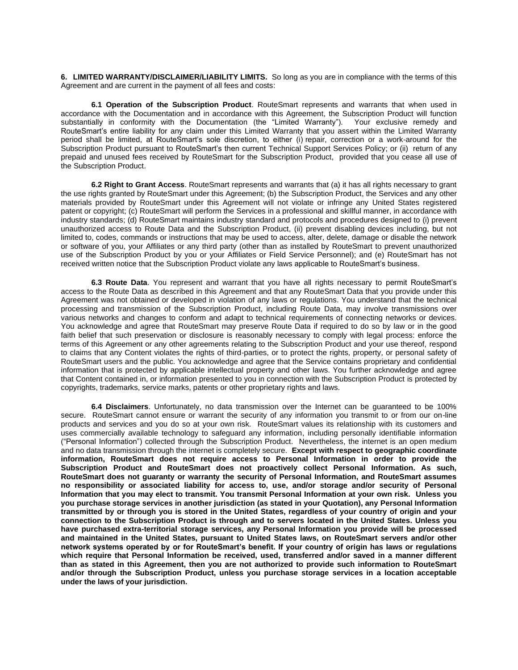**6. LIMITED WARRANTY/DISCLAIMER/LIABILITY LIMITS.** So long as you are in compliance with the terms of this Agreement and are current in the payment of all fees and costs:

**6.1 Operation of the Subscription Product**. RouteSmart represents and warrants that when used in accordance with the Documentation and in accordance with this Agreement, the Subscription Product will function substantially in conformity with the Documentation (the "Limited Warranty"). Your exclusive remedy and RouteSmart's entire liability for any claim under this Limited Warranty that you assert within the Limited Warranty period shall be limited, at RouteSmart's sole discretion, to either (i) repair, correction or a work-around for the Subscription Product pursuant to RouteSmart's then current Technical Support Services Policy; or (ii) return of any prepaid and unused fees received by RouteSmart for the Subscription Product, provided that you cease all use of the Subscription Product.

**6.2 Right to Grant Access**. RouteSmart represents and warrants that (a) it has all rights necessary to grant the use rights granted by RouteSmart under this Agreement; (b) the Subscription Product, the Services and any other materials provided by RouteSmart under this Agreement will not violate or infringe any United States registered patent or copyright; (c) RouteSmart will perform the Services in a professional and skillful manner, in accordance with industry standards; (d) RouteSmart maintains industry standard and protocols and procedures designed to (i) prevent unauthorized access to Route Data and the Subscription Product, (ii) prevent disabling devices including, but not limited to, codes, commands or instructions that may be used to access, alter, delete, damage or disable the network or software of you, your Affiliates or any third party (other than as installed by RouteSmart to prevent unauthorized use of the Subscription Product by you or your Affiliates or Field Service Personnel); and (e) RouteSmart has not received written notice that the Subscription Product violate any laws applicable to RouteSmart's business.

**6.3 Route Data**. You represent and warrant that you have all rights necessary to permit RouteSmart's access to the Route Data as described in this Agreement and that any RouteSmart Data that you provide under this Agreement was not obtained or developed in violation of any laws or regulations. You understand that the technical processing and transmission of the Subscription Product, including Route Data, may involve transmissions over various networks and changes to conform and adapt to technical requirements of connecting networks or devices. You acknowledge and agree that RouteSmart may preserve Route Data if required to do so by law or in the good faith belief that such preservation or disclosure is reasonably necessary to comply with legal process: enforce the terms of this Agreement or any other agreements relating to the Subscription Product and your use thereof, respond to claims that any Content violates the rights of third-parties, or to protect the rights, property, or personal safety of RouteSmart users and the public. You acknowledge and agree that the Service contains proprietary and confidential information that is protected by applicable intellectual property and other laws. You further acknowledge and agree that Content contained in, or information presented to you in connection with the Subscription Product is protected by copyrights, trademarks, service marks, patents or other proprietary rights and laws.

**6.4 Disclaimers**. Unfortunately, no data transmission over the Internet can be guaranteed to be 100% secure. RouteSmart cannot ensure or warrant the security of any information you transmit to or from our on-line products and services and you do so at your own risk. RouteSmart values its relationship with its customers and uses commercially available technology to safeguard any information, including personally identifiable information ("Personal Information") collected through the Subscription Product. Nevertheless, the internet is an open medium and no data transmission through the internet is completely secure. **Except with respect to geographic coordinate information, RouteSmart does not require access to Personal Information in order to provide the Subscription Product and RouteSmart does not proactively collect Personal Information. As such, RouteSmart does not guaranty or warranty the security of Personal Information, and RouteSmart assumes no responsibility or associated liability for access to, use, and/or storage and/or security of Personal Information that you may elect to transmit. You transmit Personal Information at your own risk. Unless you you purchase storage services in another jurisdiction (as stated in your Quotation), any Personal Information transmitted by or through you is stored in the United States, regardless of your country of origin and your connection to the Subscription Product is through and to servers located in the United States. Unless you have purchased extra-territorial storage services, any Personal Information you provide will be processed and maintained in the United States, pursuant to United States laws, on RouteSmart servers and/or other network systems operated by or for RouteSmart's benefit. If your country of origin has laws or regulations which require that Personal Information be received, used, transferred and/or saved in a manner different than as stated in this Agreement, then you are not authorized to provide such information to RouteSmart and/or through the Subscription Product, unless you purchase storage services in a location acceptable under the laws of your jurisdiction.**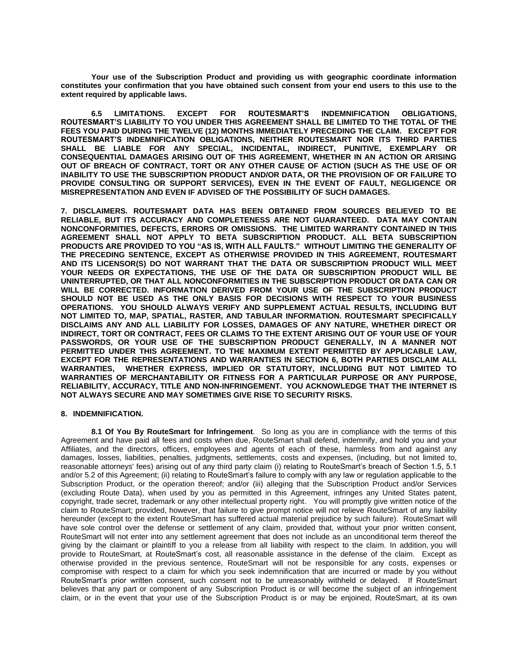**Your use of the Subscription Product and providing us with geographic coordinate information constitutes your confirmation that you have obtained such consent from your end users to this use to the extent required by applicable laws.** 

**6.5 LIMITATIONS. EXCEPT FOR ROUTESMART'S INDEMNIFICATION OBLIGATIONS, ROUTESMART'S LIABILITY TO YOU UNDER THIS AGREEMENT SHALL BE LIMITED TO THE TOTAL OF THE FEES YOU PAID DURING THE TWELVE (12) MONTHS IMMEDIATELY PRECEDING THE CLAIM. EXCEPT FOR ROUTESMART'S INDEMNIFICATION OBLIGATIONS, NEITHER ROUTESMART NOR ITS THIRD PARTIES SHALL BE LIABLE FOR ANY SPECIAL, INCIDENTAL, INDIRECT, PUNITIVE, EXEMPLARY OR CONSEQUENTIAL DAMAGES ARISING OUT OF THIS AGREEMENT, WHETHER IN AN ACTION OR ARISING OUT OF BREACH OF CONTRACT, TORT OR ANY OTHER CAUSE OF ACTION (SUCH AS THE USE OF OR INABILITY TO USE THE SUBSCRIPTION PRODUCT AND/OR DATA, OR THE PROVISION OF OR FAILURE TO PROVIDE CONSULTING OR SUPPORT SERVICES), EVEN IN THE EVENT OF FAULT, NEGLIGENCE OR MISREPRESENTATION AND EVEN IF ADVISED OF THE POSSIBILITY OF SUCH DAMAGES.** 

**7. DISCLAIMERS. ROUTESMART DATA HAS BEEN OBTAINED FROM SOURCES BELIEVED TO BE RELIABLE, BUT ITS ACCURACY AND COMPLETENESS ARE NOT GUARANTEED. DATA MAY CONTAIN NONCONFORMITIES, DEFECTS, ERRORS OR OMISSIONS. THE LIMITED WARRANTY CONTAINED IN THIS AGREEMENT SHALL NOT APPLY TO BETA SUBSCRIPTION PRODUCT. ALL BETA SUBSCRIPTION PRODUCTS ARE PROVIDED TO YOU "AS IS, WITH ALL FAULTS." WITHOUT LIMITING THE GENERALITY OF THE PRECEDING SENTENCE, EXCEPT AS OTHERWISE PROVIDED IN THIS AGREEMENT, ROUTESMART AND ITS LICENSOR(S) DO NOT WARRANT THAT THE DATA OR SUBSCRIPTION PRODUCT WILL MEET YOUR NEEDS OR EXPECTATIONS, THE USE OF THE DATA OR SUBSCRIPTION PRODUCT WILL BE UNINTERRUPTED, OR THAT ALL NONCONFORMITIES IN THE SUBSCRIPTION PRODUCT OR DATA CAN OR WILL BE CORRECTED. INFORMATION DERIVED FROM YOUR USE OF THE SUBSCRIPTION PRODUCT SHOULD NOT BE USED AS THE ONLY BASIS FOR DECISIONS WITH RESPECT TO YOUR BUSINESS OPERATIONS. YOU SHOULD ALWAYS VERIFY AND SUPPLEMENT ACTUAL RESULTS, INCLUDING BUT NOT LIMITED TO, MAP, SPATIAL, RASTER, AND TABULAR INFORMATION. ROUTESMART SPECIFICALLY DISCLAIMS ANY AND ALL LIABILITY FOR LOSSES, DAMAGES OF ANY NATURE, WHETHER DIRECT OR INDIRECT, TORT OR CONTRACT, FEES OR CLAIMS TO THE EXTENT ARISING OUT OF YOUR USE OF YOUR PASSWORDS, OR YOUR USE OF THE SUBSCRIPTION PRODUCT GENERALLY, IN A MANNER NOT PERMITTED UNDER THIS AGREEMENT. TO THE MAXIMUM EXTENT PERMITTED BY APPLICABLE LAW, EXCEPT FOR THE REPRESENTATIONS AND WARRANTIES IN SECTION 6, BOTH PARTIES DISCLAIM ALL WARRANTIES, WHETHER EXPRESS, IMPLIED OR STATUTORY, INCLUDING BUT NOT LIMITED TO WARRANTIES OF MERCHANTABILITY OR FITNESS FOR A PARTICULAR PURPOSE OR ANY PURPOSE, RELIABILITY, ACCURACY, TITLE AND NON-INFRINGEMENT. YOU ACKNOWLEDGE THAT THE INTERNET IS NOT ALWAYS SECURE AND MAY SOMETIMES GIVE RISE TO SECURITY RISKS.** 

# **8. INDEMNIFICATION.**

**8.1 Of You By RouteSmart for Infringement**. So long as you are in compliance with the terms of this Agreement and have paid all fees and costs when due, RouteSmart shall defend, indemnify, and hold you and your Affiliates, and the directors, officers, employees and agents of each of these, harmless from and against any damages, losses, liabilities, penalties, judgments, settlements, costs and expenses, (including, but not limited to, reasonable attorneys' fees) arising out of any third party claim (i) relating to RouteSmart's breach of Section 1.5, 5.1 and/or 5.2 of this Agreement; (ii) relating to RouteSmart's failure to comply with any law or regulation applicable to the Subscription Product, or the operation thereof; and/or (iii) alleging that the Subscription Product and/or Services (excluding Route Data), when used by you as permitted in this Agreement, infringes any United States patent, copyright, trade secret, trademark or any other intellectual property right. You will promptly give written notice of the claim to RouteSmart; provided, however, that failure to give prompt notice will not relieve RouteSmart of any liability hereunder (except to the extent RouteSmart has suffered actual material prejudice by such failure). RouteSmart will have sole control over the defense or settlement of any claim, provided that, without your prior written consent, RouteSmart will not enter into any settlement agreement that does not include as an unconditional term thereof the giving by the claimant or plaintiff to you a release from all liability with respect to the claim. In addition, you will provide to RouteSmart, at RouteSmart's cost, all reasonable assistance in the defense of the claim. Except as otherwise provided in the previous sentence, RouteSmart will not be responsible for any costs, expenses or compromise with respect to a claim for which you seek indemnification that are incurred or made by you without RouteSmart's prior written consent, such consent not to be unreasonably withheld or delayed. If RouteSmart believes that any part or component of any Subscription Product is or will become the subject of an infringement claim, or in the event that your use of the Subscription Product is or may be enjoined, RouteSmart, at its own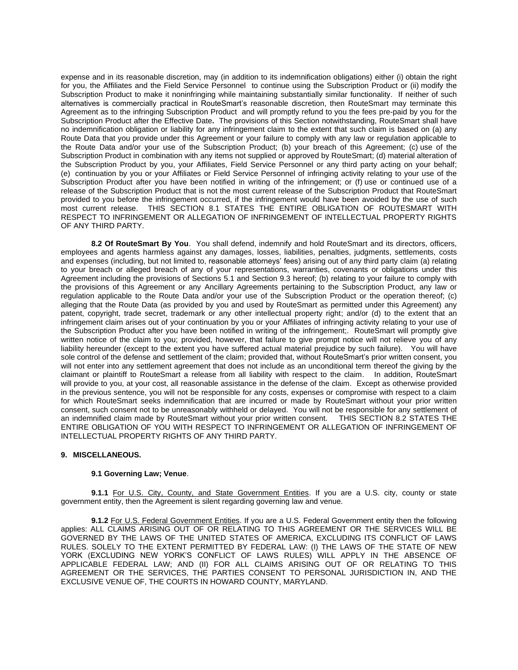expense and in its reasonable discretion, may (in addition to its indemnification obligations) either (i) obtain the right for you, the Affiliates and the Field Service Personnel to continue using the Subscription Product or (ii) modify the Subscription Product to make it noninfringing while maintaining substantially similar functionality. If neither of such alternatives is commercially practical in RouteSmart's reasonable discretion, then RouteSmart may terminate this Agreement as to the infringing Subscription Product and will promptly refund to you the fees pre-paid by you for the Subscription Product after the Effective Date**.** The provisions of this Section notwithstanding, RouteSmart shall have no indemnification obligation or liability for any infringement claim to the extent that such claim is based on (a) any Route Data that you provide under this Agreement or your failure to comply with any law or regulation applicable to the Route Data and/or your use of the Subscription Product; (b) your breach of this Agreement; (c) use of the Subscription Product in combination with any items not supplied or approved by RouteSmart; (d) material alteration of the Subscription Product by you, your Affiliates, Field Service Personnel or any third party acting on your behalf; (e) continuation by you or your Affiliates or Field Service Personnel of infringing activity relating to your use of the Subscription Product after you have been notified in writing of the infringement; or (f) use or continued use of a release of the Subscription Product that is not the most current release of the Subscription Product that RouteSmart provided to you before the infringement occurred, if the infringement would have been avoided by the use of such most current release. THIS SECTION 8.1 STATES THE ENTIRE OBLIGATION OF ROUTESMART WITH RESPECT TO INFRINGEMENT OR ALLEGATION OF INFRINGEMENT OF INTELLECTUAL PROPERTY RIGHTS OF ANY THIRD PARTY.

**8.2 Of RouteSmart By You**. You shall defend, indemnify and hold RouteSmart and its directors, officers, employees and agents harmless against any damages, losses, liabilities, penalties, judgments, settlements, costs and expenses (including, but not limited to, reasonable attorneys' fees) arising out of any third party claim (a) relating to your breach or alleged breach of any of your representations, warranties, covenants or obligations under this Agreement including the provisions of Sections 5.1 and Section 9.3 hereof; (b) relating to your failure to comply with the provisions of this Agreement or any Ancillary Agreements pertaining to the Subscription Product, any law or regulation applicable to the Route Data and/or your use of the Subscription Product or the operation thereof; (c) alleging that the Route Data (as provided by you and used by RouteSmart as permitted under this Agreement) any patent, copyright, trade secret, trademark or any other intellectual property right; and/or (d) to the extent that an infringement claim arises out of your continuation by you or your Affiliates of infringing activity relating to your use of the Subscription Product after you have been notified in writing of the infringement;. RouteSmart will promptly give written notice of the claim to you; provided, however, that failure to give prompt notice will not relieve you of any liability hereunder (except to the extent you have suffered actual material prejudice by such failure). You will have sole control of the defense and settlement of the claim; provided that, without RouteSmart's prior written consent, you will not enter into any settlement agreement that does not include as an unconditional term thereof the giving by the claimant or plaintiff to RouteSmart a release from all liability with respect to the claim. In addition, RouteSmart will provide to you, at your cost, all reasonable assistance in the defense of the claim. Except as otherwise provided in the previous sentence, you will not be responsible for any costs, expenses or compromise with respect to a claim for which RouteSmart seeks indemnification that are incurred or made by RouteSmart without your prior written consent, such consent not to be unreasonably withheld or delayed. You will not be responsible for any settlement of an indemnified claim made by RouteSmart without your prior written consent. THIS SECTION 8.2 STATES THE ENTIRE OBLIGATION OF YOU WITH RESPECT TO INFRINGEMENT OR ALLEGATION OF INFRINGEMENT OF INTELLECTUAL PROPERTY RIGHTS OF ANY THIRD PARTY.

## **9. MISCELLANEOUS.**

## **9.1 Governing Law; Venue**.

**9.1.1** For U.S. City, County, and State Government Entities. If you are a U.S. city, county or state government entity, then the Agreement is silent regarding governing law and venue.

**9.1.2** For U.S. Federal Government Entities. If you are a U.S. Federal Government entity then the following applies: ALL CLAIMS ARISING OUT OF OR RELATING TO THIS AGREEMENT OR THE SERVICES WILL BE GOVERNED BY THE LAWS OF THE UNITED STATES OF AMERICA, EXCLUDING ITS CONFLICT OF LAWS RULES. SOLELY TO THE EXTENT PERMITTED BY FEDERAL LAW: (I) THE LAWS OF THE STATE OF NEW YORK (EXCLUDING NEW YORK'S CONFLICT OF LAWS RULES) WILL APPLY IN THE ABSENCE OF APPLICABLE FEDERAL LAW; AND (II) FOR ALL CLAIMS ARISING OUT OF OR RELATING TO THIS AGREEMENT OR THE SERVICES, THE PARTIES CONSENT TO PERSONAL JURISDICTION IN, AND THE EXCLUSIVE VENUE OF, THE COURTS IN HOWARD COUNTY, MARYLAND.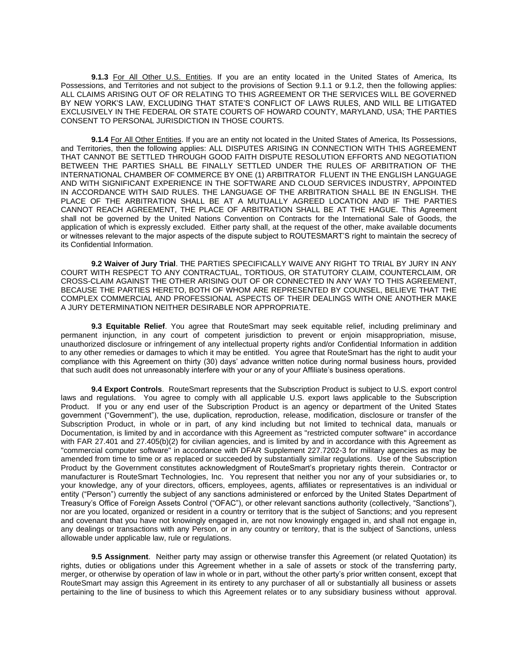**9.1.3** For All Other U.S. Entities. If you are an entity located in the United States of America, Its Possessions, and Territories and not subject to the provisions of Section 9.1.1 or 9.1.2, then the following applies: ALL CLAIMS ARISING OUT OF OR RELATING TO THIS AGREEMENT OR THE SERVICES WILL BE GOVERNED BY NEW YORK'S LAW, EXCLUDING THAT STATE'S CONFLICT OF LAWS RULES, AND WILL BE LITIGATED EXCLUSIVELY IN THE FEDERAL OR STATE COURTS OF HOWARD COUNTY, MARYLAND, USA; THE PARTIES CONSENT TO PERSONAL JURISDICTION IN THOSE COURTS.

**9.1.4** For All Other Entities. If you are an entity not located in the United States of America, Its Possessions, and Territories, then the following applies: ALL DISPUTES ARISING IN CONNECTION WITH THIS AGREEMENT THAT CANNOT BE SETTLED THROUGH GOOD FAITH DISPUTE RESOLUTION EFFORTS AND NEGOTIATION BETWEEN THE PARTIES SHALL BE FINALLY SETTLED UNDER THE RULES OF ARBITRATION OF THE INTERNATIONAL CHAMBER OF COMMERCE BY ONE (1) ARBITRATOR FLUENT IN THE ENGLISH LANGUAGE AND WITH SIGNIFICANT EXPERIENCE IN THE SOFTWARE AND CLOUD SERVICES INDUSTRY, APPOINTED IN ACCORDANCE WITH SAID RULES. THE LANGUAGE OF THE ARBITRATION SHALL BE IN ENGLISH. THE PLACE OF THE ARBITRATION SHALL BE AT A MUTUALLY AGREED LOCATION AND IF THE PARTIES CANNOT REACH AGREEMENT, THE PLACE OF ARBITRATION SHALL BE AT THE HAGUE. This Agreement shall not be governed by the United Nations Convention on Contracts for the International Sale of Goods, the application of which is expressly excluded. Either party shall, at the request of the other, make available documents or witnesses relevant to the major aspects of the dispute subject to ROUTESMART'S right to maintain the secrecy of its Confidential Information.

**9.2 Waiver of Jury Trial**. THE PARTIES SPECIFICALLY WAIVE ANY RIGHT TO TRIAL BY JURY IN ANY COURT WITH RESPECT TO ANY CONTRACTUAL, TORTIOUS, OR STATUTORY CLAIM, COUNTERCLAIM, OR CROSS-CLAIM AGAINST THE OTHER ARISING OUT OF OR CONNECTED IN ANY WAY TO THIS AGREEMENT, BECAUSE THE PARTIES HERETO, BOTH OF WHOM ARE REPRESENTED BY COUNSEL, BELIEVE THAT THE COMPLEX COMMERCIAL AND PROFESSIONAL ASPECTS OF THEIR DEALINGS WITH ONE ANOTHER MAKE A JURY DETERMINATION NEITHER DESIRABLE NOR APPROPRIATE.

**9.3 Equitable Relief**. You agree that RouteSmart may seek equitable relief, including preliminary and permanent injunction, in any court of competent jurisdiction to prevent or enjoin misappropriation, misuse, unauthorized disclosure or infringement of any intellectual property rights and/or Confidential Information in addition to any other remedies or damages to which it may be entitled. You agree that RouteSmart has the right to audit your compliance with this Agreement on thirty (30) days' advance written notice during normal business hours, provided that such audit does not unreasonably interfere with your or any of your Affiliate's business operations.

**9.4 Export Controls**. RouteSmart represents that the Subscription Product is subject to U.S. export control laws and regulations. You agree to comply with all applicable U.S. export laws applicable to the Subscription Product. If you or any end user of the Subscription Product is an agency or department of the United States government ("Government"), the use, duplication, reproduction, release, modification, disclosure or transfer of the Subscription Product, in whole or in part, of any kind including but not limited to technical data, manuals or Documentation, is limited by and in accordance with this Agreement as "restricted computer software" in accordance with FAR 27.401 and 27.405(b)(2) for civilian agencies, and is limited by and in accordance with this Agreement as "commercial computer software" in accordance with DFAR Supplement 227.7202-3 for military agencies as may be amended from time to time or as replaced or succeeded by substantially similar regulations. Use of the Subscription Product by the Government constitutes acknowledgment of RouteSmart's proprietary rights therein. Contractor or manufacturer is RouteSmart Technologies, Inc. You represent that neither you nor any of your subsidiaries or, to your knowledge, any of your directors, officers, employees, agents, affiliates or representatives is an individual or entity ("Person") currently the subject of any sanctions administered or enforced by the United States Department of Treasury's Office of Foreign Assets Control ("OFAC"), or other relevant sanctions authority (collectively, "Sanctions"), nor are you located, organized or resident in a country or territory that is the subject of Sanctions; and you represent and covenant that you have not knowingly engaged in, are not now knowingly engaged in, and shall not engage in, any dealings or transactions with any Person, or in any country or territory, that is the subject of Sanctions, unless allowable under applicable law, rule or regulations.

**9.5 Assignment**. Neither party may assign or otherwise transfer this Agreement (or related Quotation) its rights, duties or obligations under this Agreement whether in a sale of assets or stock of the transferring party, merger, or otherwise by operation of law in whole or in part, without the other party's prior written consent, except that RouteSmart may assign this Agreement in its entirety to any purchaser of all or substantially all business or assets pertaining to the line of business to which this Agreement relates or to any subsidiary business without approval.